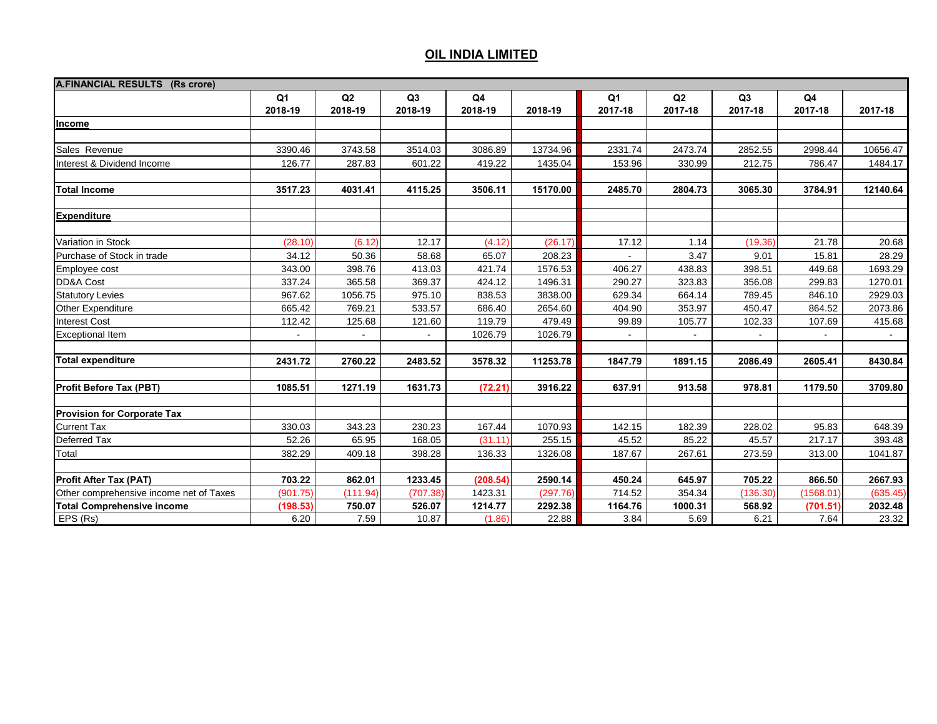| A.FINANCIAL RESULTS (Rs crore)          |                |          |          |                |          |         |                |          |                |          |
|-----------------------------------------|----------------|----------|----------|----------------|----------|---------|----------------|----------|----------------|----------|
|                                         | Q1             | Q2       | Q3       | Q <sub>4</sub> |          | Q1      | Q2             | Q3       | Q <sub>4</sub> |          |
|                                         | 2018-19        | 2018-19  | 2018-19  | 2018-19        | 2018-19  | 2017-18 | 2017-18        | 2017-18  | 2017-18        | 2017-18  |
| Income                                  |                |          |          |                |          |         |                |          |                |          |
|                                         |                |          |          |                |          |         |                |          |                |          |
| Sales Revenue                           | 3390.46        | 3743.58  | 3514.03  | 3086.89        | 13734.96 | 2331.74 | 2473.74        | 2852.55  | 2998.44        | 10656.47 |
| Interest & Dividend Income              | 126.77         | 287.83   | 601.22   | 419.22         | 1435.04  | 153.96  | 330.99         | 212.75   | 786.47         | 1484.17  |
| <b>Total Income</b>                     | 3517.23        | 4031.41  | 4115.25  | 3506.11        | 15170.00 | 2485.70 | 2804.73        | 3065.30  | 3784.91        | 12140.64 |
|                                         |                |          |          |                |          |         |                |          |                |          |
| <b>Expenditure</b>                      |                |          |          |                |          |         |                |          |                |          |
| Variation in Stock                      | (28.10)        | (6.12)   | 12.17    | (4.12)         | (26.17)  | 17.12   | 1.14           | (19.36)  | 21.78          | 20.68    |
| Purchase of Stock in trade              | 34.12          | 50.36    | 58.68    | 65.07          | 208.23   |         | 3.47           | 9.01     | 15.81          | 28.29    |
| Employee cost                           | 343.00         | 398.76   | 413.03   | 421.74         | 1576.53  | 406.27  | 438.83         | 398.51   | 449.68         | 1693.29  |
| DD&A Cost                               | 337.24         | 365.58   | 369.37   | 424.12         | 1496.31  | 290.27  | 323.83         | 356.08   | 299.83         | 1270.01  |
| <b>Statutory Levies</b>                 | 967.62         | 1056.75  | 975.10   | 838.53         | 3838.00  | 629.34  | 664.14         | 789.45   | 846.10         | 2929.03  |
| Other Expenditure                       | 665.42         | 769.21   | 533.57   | 686.40         | 2654.60  | 404.90  | 353.97         | 450.47   | 864.52         | 2073.86  |
| <b>Interest Cost</b>                    | 112.42         | 125.68   | 121.60   | 119.79         | 479.49   | 99.89   | 105.77         | 102.33   | 107.69         | 415.68   |
| <b>Exceptional Item</b>                 | $\blacksquare$ |          |          | 1026.79        | 1026.79  |         | $\blacksquare$ |          |                |          |
|                                         |                |          |          |                |          |         |                |          |                |          |
| <b>Total expenditure</b>                | 2431.72        | 2760.22  | 2483.52  | 3578.32        | 11253.78 | 1847.79 | 1891.15        | 2086.49  | 2605.41        | 8430.84  |
| <b>Profit Before Tax (PBT)</b>          | 1085.51        | 1271.19  | 1631.73  | (72.21)        | 3916.22  | 637.91  | 913.58         | 978.81   | 1179.50        | 3709.80  |
| <b>Provision for Corporate Tax</b>      |                |          |          |                |          |         |                |          |                |          |
| <b>Current Tax</b>                      | 330.03         | 343.23   | 230.23   | 167.44         | 1070.93  | 142.15  | 182.39         | 228.02   | 95.83          | 648.39   |
| Deferred Tax                            | 52.26          | 65.95    | 168.05   | (31.11)        | 255.15   | 45.52   | 85.22          | 45.57    | 217.17         | 393.48   |
| Total                                   | 382.29         | 409.18   | 398.28   | 136.33         | 1326.08  | 187.67  | 267.61         | 273.59   | 313.00         | 1041.87  |
|                                         |                |          |          |                |          |         |                |          |                |          |
| <b>Profit After Tax (PAT)</b>           | 703.22         | 862.01   | 1233.45  | (208.54)       | 2590.14  | 450.24  | 645.97         | 705.22   | 866.50         | 2667.93  |
| Other comprehensive income net of Taxes | (901.75)       | (111.94) | (707.38) | 1423.31        | (297.76) | 714.52  | 354.34         | (136.30) | (1568.01)      | (635.45) |
| <b>Total Comprehensive income</b>       | (198.53)       | 750.07   | 526.07   | 1214.77        | 2292.38  | 1164.76 | 1000.31        | 568.92   | (701.51)       | 2032.48  |
| EPS (Rs)                                | 6.20           | 7.59     | 10.87    | (1.86)         | 22.88    | 3.84    | 5.69           | 6.21     | 7.64           | 23.32    |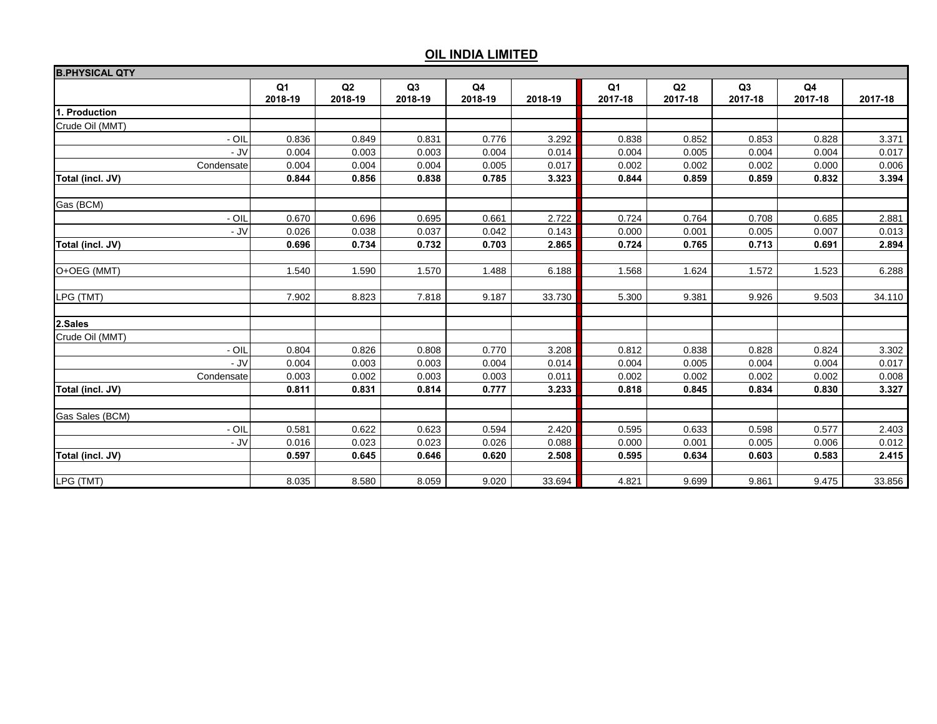| <b>B.PHYSICAL QTY</b> |               |               |               |               |         |               |               |                           |               |         |
|-----------------------|---------------|---------------|---------------|---------------|---------|---------------|---------------|---------------------------|---------------|---------|
|                       | Q1<br>2018-19 | Q2<br>2018-19 | Q3<br>2018-19 | Q4<br>2018-19 | 2018-19 | Q1<br>2017-18 | Q2<br>2017-18 | Q <sub>3</sub><br>2017-18 | Q4<br>2017-18 | 2017-18 |
| 1. Production         |               |               |               |               |         |               |               |                           |               |         |
| Crude Oil (MMT)       |               |               |               |               |         |               |               |                           |               |         |
| - OIL                 | 0.836         | 0.849         | 0.831         | 0.776         | 3.292   | 0.838         | 0.852         | 0.853                     | 0.828         | 3.371   |
| - JV                  | 0.004         | 0.003         | 0.003         | 0.004         | 0.014   | 0.004         | 0.005         | 0.004                     | 0.004         | 0.017   |
| Condensate            | 0.004         | 0.004         | 0.004         | 0.005         | 0.017   | 0.002         | 0.002         | 0.002                     | 0.000         | 0.006   |
| Total (incl. JV)      | 0.844         | 0.856         | 0.838         | 0.785         | 3.323   | 0.844         | 0.859         | 0.859                     | 0.832         | 3.394   |
| Gas (BCM)             |               |               |               |               |         |               |               |                           |               |         |
| $-$ OIL               | 0.670         | 0.696         | 0.695         | 0.661         | 2.722   | 0.724         | 0.764         | 0.708                     | 0.685         | 2.881   |
| - JV                  | 0.026         | 0.038         | 0.037         | 0.042         | 0.143   | 0.000         | 0.001         | 0.005                     | 0.007         | 0.013   |
| Total (incl. JV)      | 0.696         | 0.734         | 0.732         | 0.703         | 2.865   | 0.724         | 0.765         | 0.713                     | 0.691         | 2.894   |
| O+OEG (MMT)           | 1.540         | 1.590         | 1.570         | 1.488         | 6.188   | 1.568         | 1.624         | 1.572                     | 1.523         | 6.288   |
| LPG (TMT)             | 7.902         | 8.823         | 7.818         | 9.187         | 33.730  | 5.300         | 9.381         | 9.926                     | 9.503         | 34.110  |
| 2.Sales               |               |               |               |               |         |               |               |                           |               |         |
| Crude Oil (MMT)       |               |               |               |               |         |               |               |                           |               |         |
| - OIL                 | 0.804         | 0.826         | 0.808         | 0.770         | 3.208   | 0.812         | 0.838         | 0.828                     | 0.824         | 3.302   |
| - JV                  | 0.004         | 0.003         | 0.003         | 0.004         | 0.014   | 0.004         | 0.005         | 0.004                     | 0.004         | 0.017   |
| Condensate            | 0.003         | 0.002         | 0.003         | 0.003         | 0.011   | 0.002         | 0.002         | 0.002                     | 0.002         | 0.008   |
| Total (incl. JV)      | 0.811         | 0.831         | 0.814         | 0.777         | 3.233   | 0.818         | 0.845         | 0.834                     | 0.830         | 3.327   |
| Gas Sales (BCM)       |               |               |               |               |         |               |               |                           |               |         |
| $-$ OIL               | 0.581         | 0.622         | 0.623         | 0.594         | 2.420   | 0.595         | 0.633         | 0.598                     | 0.577         | 2.403   |
| - JV                  | 0.016         | 0.023         | 0.023         | 0.026         | 0.088   | 0.000         | 0.001         | 0.005                     | 0.006         | 0.012   |
| Total (incl. JV)      | 0.597         | 0.645         | 0.646         | 0.620         | 2.508   | 0.595         | 0.634         | 0.603                     | 0.583         | 2.415   |
| LPG (TMT)             | 8.035         | 8.580         | 8.059         | 9.020         | 33.694  | 4.821         | 9.699         | 9.861                     | 9.475         | 33.856  |
|                       |               |               |               |               |         |               |               |                           |               |         |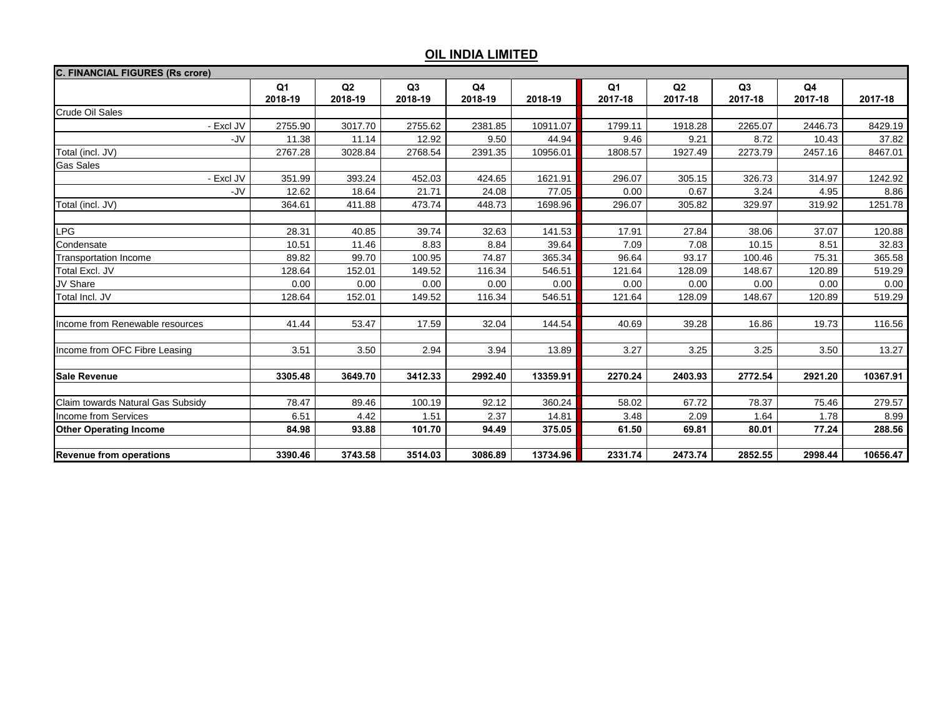| <b>C. FINANCIAL FIGURES (Rs crore)</b> |                           |               |               |               |          |                           |               |               |               |          |
|----------------------------------------|---------------------------|---------------|---------------|---------------|----------|---------------------------|---------------|---------------|---------------|----------|
|                                        | Q <sub>1</sub><br>2018-19 | Q2<br>2018-19 | Q3<br>2018-19 | Q4<br>2018-19 | 2018-19  | Q <sub>1</sub><br>2017-18 | Q2<br>2017-18 | Q3<br>2017-18 | Q4<br>2017-18 | 2017-18  |
| Crude Oil Sales                        |                           |               |               |               |          |                           |               |               |               |          |
| - Excl JV                              | 2755.90                   | 3017.70       | 2755.62       | 2381.85       | 10911.07 | 1799.11                   | 1918.28       | 2265.07       | 2446.73       | 8429.19  |
| -JV                                    | 11.38                     | 11.14         | 12.92         | 9.50          | 44.94    | 9.46                      | 9.21          | 8.72          | 10.43         | 37.82    |
| Total (incl. JV)                       | 2767.28                   | 3028.84       | 2768.54       | 2391.35       | 10956.01 | 1808.57                   | 1927.49       | 2273.79       | 2457.16       | 8467.01  |
| <b>Gas Sales</b>                       |                           |               |               |               |          |                           |               |               |               |          |
| - Excl JV                              | 351.99                    | 393.24        | 452.03        | 424.65        | 1621.91  | 296.07                    | 305.15        | 326.73        | 314.97        | 1242.92  |
| -JV                                    | 12.62                     | 18.64         | 21.71         | 24.08         | 77.05    | 0.00                      | 0.67          | 3.24          | 4.95          | 8.86     |
| Total (incl. JV)                       | 364.61                    | 411.88        | 473.74        | 448.73        | 1698.96  | 296.07                    | 305.82        | 329.97        | 319.92        | 1251.78  |
| <b>LPG</b>                             | 28.31                     | 40.85         | 39.74         | 32.63         | 141.53   | 17.91                     | 27.84         | 38.06         | 37.07         | 120.88   |
| Condensate                             | 10.51                     | 11.46         | 8.83          | 8.84          | 39.64    | 7.09                      | 7.08          | 10.15         | 8.51          | 32.83    |
| <b>Transportation Income</b>           | 89.82                     | 99.70         | 100.95        | 74.87         | 365.34   | 96.64                     | 93.17         | 100.46        | 75.31         | 365.58   |
| Total Excl. JV                         | 128.64                    | 152.01        | 149.52        | 116.34        | 546.51   | 121.64                    | 128.09        | 148.67        | 120.89        | 519.29   |
| JV Share                               | 0.00                      | 0.00          | 0.00          | 0.00          | 0.00     | 0.00                      | 0.00          | 0.00          | 0.00          | 0.00     |
| Total Incl. JV                         | 128.64                    | 152.01        | 149.52        | 116.34        | 546.51   | 121.64                    | 128.09        | 148.67        | 120.89        | 519.29   |
| Income from Renewable resources        | 41.44                     | 53.47         | 17.59         | 32.04         | 144.54   | 40.69                     | 39.28         | 16.86         | 19.73         | 116.56   |
| Income from OFC Fibre Leasing          | 3.51                      | 3.50          | 2.94          | 3.94          | 13.89    | 3.27                      | 3.25          | 3.25          | 3.50          | 13.27    |
| <b>Sale Revenue</b>                    | 3305.48                   | 3649.70       | 3412.33       | 2992.40       | 13359.91 | 2270.24                   | 2403.93       | 2772.54       | 2921.20       | 10367.91 |
| Claim towards Natural Gas Subsidy      | 78.47                     | 89.46         | 100.19        | 92.12         | 360.24   | 58.02                     | 67.72         | 78.37         | 75.46         | 279.57   |
| Income from Services                   | 6.51                      | 4.42          | 1.51          | 2.37          | 14.81    | 3.48                      | 2.09          | 1.64          | 1.78          | 8.99     |
| <b>Other Operating Income</b>          | 84.98                     | 93.88         | 101.70        | 94.49         | 375.05   | 61.50                     | 69.81         | 80.01         | 77.24         | 288.56   |
|                                        |                           |               |               |               |          |                           |               |               |               |          |
| <b>Revenue from operations</b>         | 3390.46                   | 3743.58       | 3514.03       | 3086.89       | 13734.96 | 2331.74                   | 2473.74       | 2852.55       | 2998.44       | 10656.47 |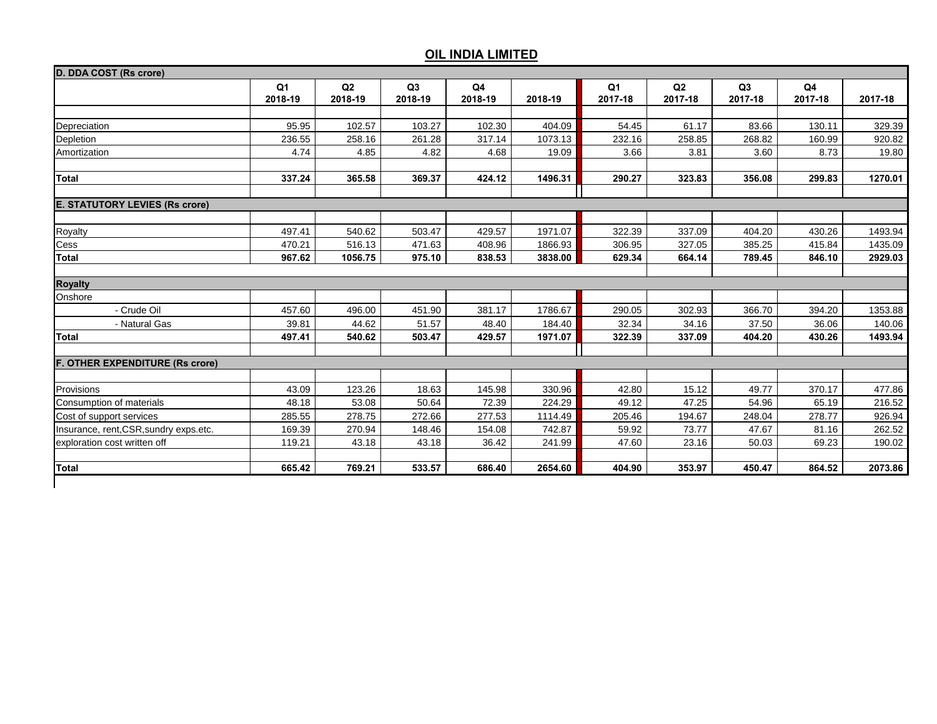| D. DDA COST (Rs crore)                 |                |         |         |         |         |                |         |         |                |         |
|----------------------------------------|----------------|---------|---------|---------|---------|----------------|---------|---------|----------------|---------|
|                                        | Q <sub>1</sub> | Q2      | Q3      | Q4      |         | Q <sub>1</sub> | Q2      | Q3      | Q <sub>4</sub> |         |
|                                        | 2018-19        | 2018-19 | 2018-19 | 2018-19 | 2018-19 | 2017-18        | 2017-18 | 2017-18 | 2017-18        | 2017-18 |
|                                        |                |         |         |         |         |                |         |         |                |         |
| Depreciation                           | 95.95          | 102.57  | 103.27  | 102.30  | 404.09  | 54.45          | 61.17   | 83.66   | 130.11         | 329.39  |
| Depletion                              | 236.55         | 258.16  | 261.28  | 317.14  | 1073.13 | 232.16         | 258.85  | 268.82  | 160.99         | 920.82  |
| Amortization                           | 4.74           | 4.85    | 4.82    | 4.68    | 19.09   | 3.66           | 3.81    | 3.60    | 8.73           | 19.80   |
| <b>Total</b>                           | 337.24         | 365.58  | 369.37  | 424.12  | 1496.31 | 290.27         | 323.83  | 356.08  | 299.83         | 1270.01 |
|                                        |                |         |         |         |         |                |         |         |                |         |
| <b>E. STATUTORY LEVIES (Rs crore)</b>  |                |         |         |         |         |                |         |         |                |         |
| Royalty                                | 497.41         | 540.62  | 503.47  | 429.57  | 1971.07 | 322.39         | 337.09  | 404.20  | 430.26         | 1493.94 |
| Cess                                   | 470.21         | 516.13  | 471.63  | 408.96  | 1866.93 | 306.95         | 327.05  | 385.25  | 415.84         | 1435.09 |
| <b>Total</b>                           | 967.62         | 1056.75 | 975.10  | 838.53  | 3838.00 | 629.34         | 664.14  | 789.45  | 846.10         | 2929.03 |
|                                        |                |         |         |         |         |                |         |         |                |         |
| <b>Royalty</b>                         |                |         |         |         |         |                |         |         |                |         |
| Onshore                                |                |         |         |         |         |                |         |         |                |         |
| - Crude Oil                            | 457.60         | 496.00  | 451.90  | 381.17  | 1786.67 | 290.05         | 302.93  | 366.70  | 394.20         | 1353.88 |
| - Natural Gas                          | 39.81          | 44.62   | 51.57   | 48.40   | 184.40  | 32.34          | 34.16   | 37.50   | 36.06          | 140.06  |
| <b>Total</b>                           | 497.41         | 540.62  | 503.47  | 429.57  | 1971.07 | 322.39         | 337.09  | 404.20  | 430.26         | 1493.94 |
|                                        |                |         |         |         |         |                |         |         |                |         |
| <b>F. OTHER EXPENDITURE (Rs crore)</b> |                |         |         |         |         |                |         |         |                |         |
| Provisions                             | 43.09          | 123.26  | 18.63   | 145.98  | 330.96  | 42.80          | 15.12   | 49.77   | 370.17         | 477.86  |
| Consumption of materials               | 48.18          | 53.08   | 50.64   | 72.39   | 224.29  | 49.12          | 47.25   | 54.96   | 65.19          | 216.52  |
| Cost of support services               | 285.55         | 278.75  | 272.66  | 277.53  | 1114.49 | 205.46         | 194.67  | 248.04  | 278.77         | 926.94  |
| Insurance, rent, CSR, sundry exps.etc. | 169.39         | 270.94  | 148.46  | 154.08  | 742.87  | 59.92          | 73.77   | 47.67   | 81.16          | 262.52  |
| exploration cost written off           | 119.21         | 43.18   | 43.18   | 36.42   | 241.99  | 47.60          | 23.16   | 50.03   | 69.23          | 190.02  |
|                                        |                |         |         |         |         |                |         |         |                |         |
| Total                                  | 665.42         | 769.21  | 533.57  | 686.40  | 2654.60 | 404.90         | 353.97  | 450.47  | 864.52         | 2073.86 |